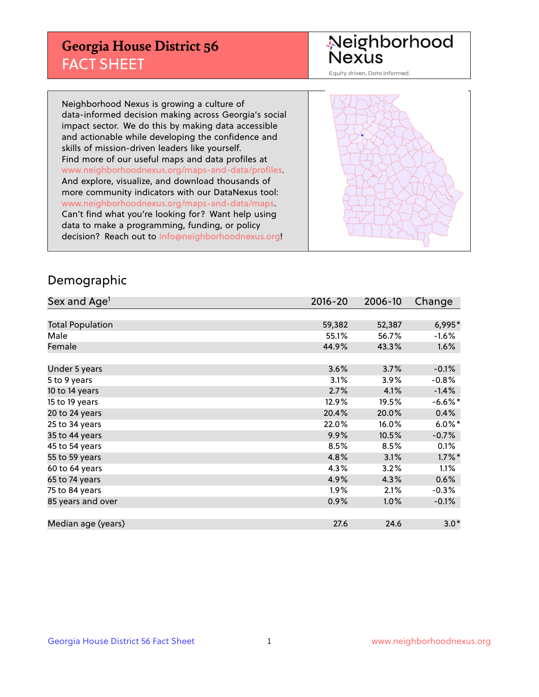## **Georgia House District 56** FACT SHEET

# Neighborhood<br>Nexus

Equity driven. Data informed.

Neighborhood Nexus is growing a culture of data-informed decision making across Georgia's social impact sector. We do this by making data accessible and actionable while developing the confidence and skills of mission-driven leaders like yourself. Find more of our useful maps and data profiles at www.neighborhoodnexus.org/maps-and-data/profiles. And explore, visualize, and download thousands of more community indicators with our DataNexus tool: www.neighborhoodnexus.org/maps-and-data/maps. Can't find what you're looking for? Want help using data to make a programming, funding, or policy decision? Reach out to [info@neighborhoodnexus.org!](mailto:info@neighborhoodnexus.org)



### Demographic

| Sex and Age <sup>1</sup> | $2016 - 20$ | 2006-10 | Change    |
|--------------------------|-------------|---------|-----------|
|                          |             |         |           |
| <b>Total Population</b>  | 59,382      | 52,387  | 6,995*    |
| Male                     | 55.1%       | 56.7%   | $-1.6%$   |
| Female                   | 44.9%       | 43.3%   | 1.6%      |
|                          |             |         |           |
| Under 5 years            | 3.6%        | 3.7%    | $-0.1%$   |
| 5 to 9 years             | 3.1%        | 3.9%    | $-0.8%$   |
| 10 to 14 years           | 2.7%        | 4.1%    | $-1.4%$   |
| 15 to 19 years           | 12.9%       | 19.5%   | $-6.6%$ * |
| 20 to 24 years           | 20.4%       | 20.0%   | 0.4%      |
| 25 to 34 years           | 22.0%       | 16.0%   | $6.0\%$ * |
| 35 to 44 years           | 9.9%        | 10.5%   | $-0.7%$   |
| 45 to 54 years           | 8.5%        | 8.5%    | 0.1%      |
| 55 to 59 years           | 4.8%        | 3.1%    | $1.7\%$ * |
| 60 to 64 years           | 4.3%        | 3.2%    | 1.1%      |
| 65 to 74 years           | 4.9%        | 4.3%    | 0.6%      |
| 75 to 84 years           | $1.9\%$     | 2.1%    | $-0.3%$   |
| 85 years and over        | 0.9%        | 1.0%    | $-0.1\%$  |
|                          |             |         |           |
| Median age (years)       | 27.6        | 24.6    | $3.0*$    |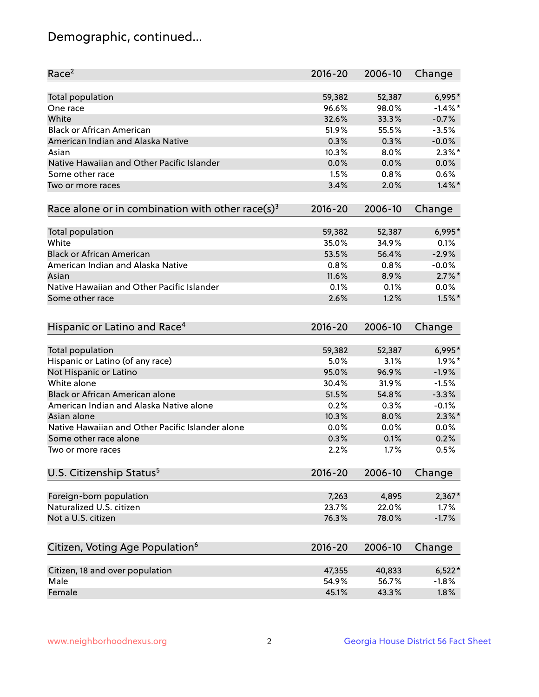## Demographic, continued...

| Race <sup>2</sup>                                            | $2016 - 20$ | 2006-10 | Change     |
|--------------------------------------------------------------|-------------|---------|------------|
| <b>Total population</b>                                      | 59,382      | 52,387  | 6,995*     |
| One race                                                     | 96.6%       | 98.0%   | $-1.4\%$ * |
| White                                                        | 32.6%       | 33.3%   | $-0.7%$    |
| <b>Black or African American</b>                             | 51.9%       | 55.5%   | $-3.5%$    |
| American Indian and Alaska Native                            | 0.3%        | 0.3%    | $-0.0%$    |
| Asian                                                        | 10.3%       | 8.0%    | $2.3\%$ *  |
| Native Hawaiian and Other Pacific Islander                   | 0.0%        | 0.0%    | 0.0%       |
| Some other race                                              | 1.5%        | 0.8%    | 0.6%       |
| Two or more races                                            | 3.4%        | 2.0%    | $1.4\%$ *  |
| Race alone or in combination with other race(s) <sup>3</sup> | $2016 - 20$ | 2006-10 | Change     |
| Total population                                             | 59,382      | 52,387  | 6,995*     |
| White                                                        | 35.0%       | 34.9%   | 0.1%       |
| <b>Black or African American</b>                             | 53.5%       | 56.4%   | $-2.9%$    |
| American Indian and Alaska Native                            | 0.8%        | 0.8%    | $-0.0%$    |
| Asian                                                        | 11.6%       | 8.9%    | $2.7\%$ *  |
| Native Hawaiian and Other Pacific Islander                   | 0.1%        | 0.1%    | $0.0\%$    |
| Some other race                                              | 2.6%        | 1.2%    | $1.5\%$ *  |
|                                                              |             |         |            |
| Hispanic or Latino and Race <sup>4</sup>                     | $2016 - 20$ | 2006-10 | Change     |
| Total population                                             | 59,382      | 52,387  | 6,995*     |
| Hispanic or Latino (of any race)                             | 5.0%        | 3.1%    | $1.9\%$ *  |
| Not Hispanic or Latino                                       | 95.0%       | 96.9%   | $-1.9%$    |
| White alone                                                  | 30.4%       | 31.9%   | $-1.5%$    |
| Black or African American alone                              | 51.5%       | 54.8%   | $-3.3%$    |
| American Indian and Alaska Native alone                      | 0.2%        | 0.3%    | $-0.1%$    |
| Asian alone                                                  | 10.3%       | 8.0%    | $2.3\%$ *  |
| Native Hawaiian and Other Pacific Islander alone             | 0.0%        | 0.0%    | 0.0%       |
| Some other race alone                                        | 0.3%        | 0.1%    | 0.2%       |
| Two or more races                                            | 2.2%        | 1.7%    | 0.5%       |
| U.S. Citizenship Status <sup>5</sup>                         | $2016 - 20$ | 2006-10 | Change     |
|                                                              |             |         |            |
| Foreign-born population                                      | 7,263       | 4,895   | $2,367*$   |
| Naturalized U.S. citizen                                     | 23.7%       | 22.0%   | 1.7%       |
| Not a U.S. citizen                                           | 76.3%       | 78.0%   | $-1.7%$    |
| Citizen, Voting Age Population <sup>6</sup>                  | 2016-20     | 2006-10 | Change     |
|                                                              |             |         |            |
| Citizen, 18 and over population                              | 47,355      | 40,833  | $6,522*$   |
| Male                                                         | 54.9%       | 56.7%   | $-1.8%$    |
| Female                                                       | 45.1%       | 43.3%   | 1.8%       |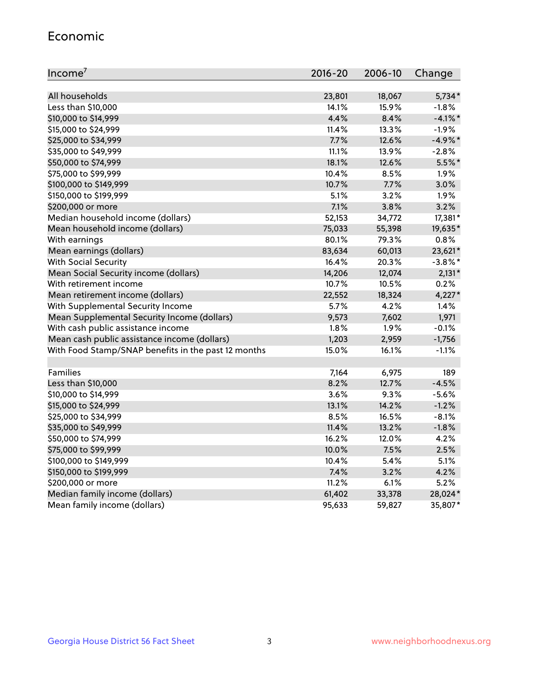#### Economic

| Income <sup>7</sup>                                 | $2016 - 20$ | 2006-10 | Change     |
|-----------------------------------------------------|-------------|---------|------------|
|                                                     |             |         |            |
| All households                                      | 23,801      | 18,067  | $5,734*$   |
| Less than \$10,000                                  | 14.1%       | 15.9%   | $-1.8%$    |
| \$10,000 to \$14,999                                | 4.4%        | 8.4%    | $-4.1\%$ * |
| \$15,000 to \$24,999                                | 11.4%       | 13.3%   | $-1.9%$    |
| \$25,000 to \$34,999                                | 7.7%        | 12.6%   | $-4.9%$ *  |
| \$35,000 to \$49,999                                | 11.1%       | 13.9%   | $-2.8%$    |
| \$50,000 to \$74,999                                | 18.1%       | 12.6%   | $5.5%$ *   |
| \$75,000 to \$99,999                                | 10.4%       | 8.5%    | 1.9%       |
| \$100,000 to \$149,999                              | 10.7%       | 7.7%    | 3.0%       |
| \$150,000 to \$199,999                              | 5.1%        | 3.2%    | 1.9%       |
| \$200,000 or more                                   | 7.1%        | 3.8%    | 3.2%       |
| Median household income (dollars)                   | 52,153      | 34,772  | 17,381*    |
| Mean household income (dollars)                     | 75,033      | 55,398  | 19,635*    |
| With earnings                                       | 80.1%       | 79.3%   | 0.8%       |
| Mean earnings (dollars)                             | 83,634      | 60,013  | 23,621*    |
| <b>With Social Security</b>                         | 16.4%       | 20.3%   | $-3.8\%$ * |
| Mean Social Security income (dollars)               | 14,206      | 12,074  | $2,131*$   |
| With retirement income                              | 10.7%       | 10.5%   | 0.2%       |
| Mean retirement income (dollars)                    | 22,552      | 18,324  | $4,227*$   |
| With Supplemental Security Income                   | 5.7%        | 4.2%    | 1.4%       |
| Mean Supplemental Security Income (dollars)         | 9,573       | 7,602   | 1,971      |
| With cash public assistance income                  | 1.8%        | 1.9%    | $-0.1%$    |
| Mean cash public assistance income (dollars)        | 1,203       | 2,959   | $-1,756$   |
| With Food Stamp/SNAP benefits in the past 12 months | 15.0%       | 16.1%   | $-1.1%$    |
|                                                     |             |         |            |
| Families                                            | 7,164       | 6,975   | 189        |
| Less than \$10,000                                  | 8.2%        | 12.7%   | $-4.5%$    |
| \$10,000 to \$14,999                                | 3.6%        | 9.3%    | $-5.6%$    |
| \$15,000 to \$24,999                                | 13.1%       | 14.2%   | $-1.2%$    |
| \$25,000 to \$34,999                                | 8.5%        | 16.5%   | $-8.1%$    |
| \$35,000 to \$49,999                                | 11.4%       | 13.2%   | $-1.8%$    |
| \$50,000 to \$74,999                                | 16.2%       | 12.0%   | 4.2%       |
| \$75,000 to \$99,999                                | 10.0%       | 7.5%    | 2.5%       |
| \$100,000 to \$149,999                              | 10.4%       | 5.4%    | 5.1%       |
| \$150,000 to \$199,999                              | 7.4%        | 3.2%    | 4.2%       |
| \$200,000 or more                                   | 11.2%       | 6.1%    | 5.2%       |
| Median family income (dollars)                      | 61,402      | 33,378  | 28,024*    |
| Mean family income (dollars)                        | 95,633      | 59,827  | 35,807*    |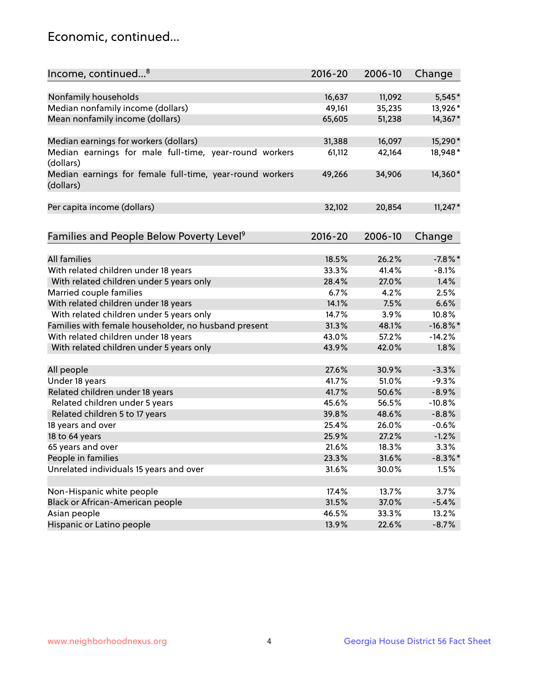## Economic, continued...

| Income, continued <sup>8</sup>                           | 2016-20 | 2006-10 | Change      |
|----------------------------------------------------------|---------|---------|-------------|
|                                                          |         |         |             |
| Nonfamily households                                     | 16,637  | 11,092  | $5,545*$    |
| Median nonfamily income (dollars)                        | 49,161  | 35,235  | 13,926*     |
| Mean nonfamily income (dollars)                          | 65,605  | 51,238  | 14,367*     |
|                                                          |         |         |             |
| Median earnings for workers (dollars)                    | 31,388  | 16,097  | 15,290*     |
| Median earnings for male full-time, year-round workers   | 61,112  | 42,164  | 18,948*     |
| (dollars)                                                |         |         |             |
| Median earnings for female full-time, year-round workers | 49,266  | 34,906  | 14,360*     |
| (dollars)                                                |         |         |             |
|                                                          |         |         |             |
| Per capita income (dollars)                              | 32,102  | 20,854  | $11,247*$   |
|                                                          |         |         |             |
| Families and People Below Poverty Level <sup>9</sup>     | 2016-20 | 2006-10 | Change      |
|                                                          |         |         |             |
| <b>All families</b>                                      | 18.5%   | 26.2%   | $-7.8\%$ *  |
| With related children under 18 years                     | 33.3%   | 41.4%   | $-8.1%$     |
| With related children under 5 years only                 | 28.4%   | 27.0%   | 1.4%        |
| Married couple families                                  | 6.7%    | 4.2%    | 2.5%        |
| With related children under 18 years                     | 14.1%   | 7.5%    | 6.6%        |
| With related children under 5 years only                 | 14.7%   | 3.9%    | 10.8%       |
| Families with female householder, no husband present     | 31.3%   | 48.1%   | $-16.8\%$ * |
| With related children under 18 years                     | 43.0%   | 57.2%   | $-14.2%$    |
| With related children under 5 years only                 | 43.9%   | 42.0%   | 1.8%        |
|                                                          |         |         |             |
| All people                                               | 27.6%   | 30.9%   | $-3.3%$     |
| Under 18 years                                           | 41.7%   | 51.0%   | $-9.3%$     |
| Related children under 18 years                          | 41.7%   | 50.6%   | $-8.9%$     |
| Related children under 5 years                           | 45.6%   | 56.5%   | $-10.8%$    |
| Related children 5 to 17 years                           | 39.8%   | 48.6%   | $-8.8%$     |
| 18 years and over                                        | 25.4%   | 26.0%   | $-0.6%$     |
| 18 to 64 years                                           | 25.9%   | 27.2%   | $-1.2%$     |
| 65 years and over                                        | 21.6%   | 18.3%   | 3.3%        |
| People in families                                       | 23.3%   | 31.6%   | $-8.3\%$ *  |
| Unrelated individuals 15 years and over                  | 31.6%   | 30.0%   | 1.5%        |
|                                                          |         |         |             |
| Non-Hispanic white people                                | 17.4%   | 13.7%   | 3.7%        |
| Black or African-American people                         | 31.5%   | 37.0%   | $-5.4%$     |
| Asian people                                             | 46.5%   | 33.3%   | 13.2%       |
| Hispanic or Latino people                                | 13.9%   | 22.6%   | $-8.7%$     |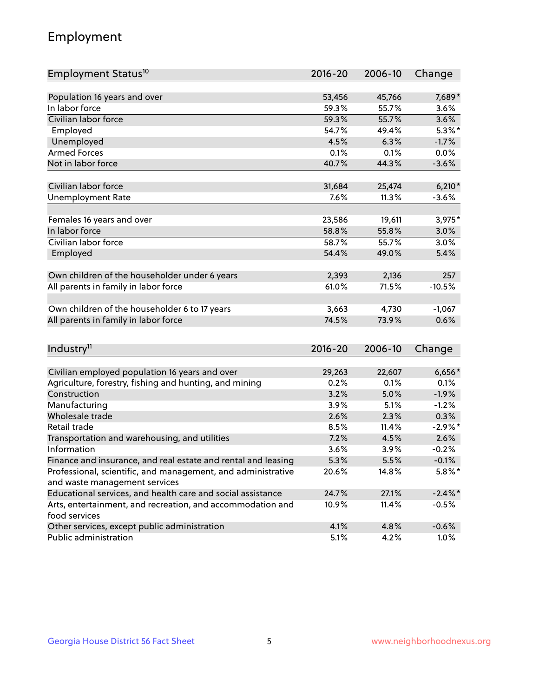## Employment

| Employment Status <sup>10</sup>                               | $2016 - 20$ | 2006-10 | Change     |
|---------------------------------------------------------------|-------------|---------|------------|
|                                                               |             |         |            |
| Population 16 years and over                                  | 53,456      | 45,766  | 7,689*     |
| In labor force                                                | 59.3%       | 55.7%   | 3.6%       |
| Civilian labor force                                          | 59.3%       | 55.7%   | 3.6%       |
| Employed                                                      | 54.7%       | 49.4%   | $5.3\%$ *  |
| Unemployed                                                    | 4.5%        | 6.3%    | $-1.7%$    |
| <b>Armed Forces</b>                                           | 0.1%        | 0.1%    | 0.0%       |
| Not in labor force                                            | 40.7%       | 44.3%   | $-3.6%$    |
| Civilian labor force                                          |             |         |            |
|                                                               | 31,684      | 25,474  | $6,210*$   |
| <b>Unemployment Rate</b>                                      | 7.6%        | 11.3%   | $-3.6%$    |
| Females 16 years and over                                     | 23,586      | 19,611  | 3,975*     |
| In labor force                                                | 58.8%       | 55.8%   | 3.0%       |
| Civilian labor force                                          | 58.7%       | 55.7%   | 3.0%       |
| Employed                                                      | 54.4%       | 49.0%   | 5.4%       |
|                                                               |             |         |            |
| Own children of the householder under 6 years                 | 2,393       | 2,136   | 257        |
| All parents in family in labor force                          | 61.0%       | 71.5%   | $-10.5%$   |
|                                                               |             |         |            |
| Own children of the householder 6 to 17 years                 | 3,663       | 4,730   | $-1,067$   |
| All parents in family in labor force                          | 74.5%       | 73.9%   | 0.6%       |
|                                                               |             |         |            |
| Industry <sup>11</sup>                                        | $2016 - 20$ | 2006-10 | Change     |
| Civilian employed population 16 years and over                | 29,263      | 22,607  | $6,656*$   |
| Agriculture, forestry, fishing and hunting, and mining        | 0.2%        | 0.1%    | 0.1%       |
| Construction                                                  | 3.2%        | 5.0%    | $-1.9%$    |
| Manufacturing                                                 | 3.9%        | 5.1%    | $-1.2%$    |
| Wholesale trade                                               | 2.6%        | 2.3%    | 0.3%       |
| Retail trade                                                  | 8.5%        | 11.4%   | $-2.9\%$ * |
| Transportation and warehousing, and utilities                 | 7.2%        | 4.5%    | 2.6%       |
| Information                                                   | 3.6%        | 3.9%    | $-0.2%$    |
| Finance and insurance, and real estate and rental and leasing | 5.3%        | 5.5%    | $-0.1%$    |
| Professional, scientific, and management, and administrative  | 20.6%       | 14.8%   | $5.8\%$ *  |
| and waste management services                                 |             |         |            |
| Educational services, and health care and social assistance   | 24.7%       | 27.1%   | $-2.4\%$ * |
| Arts, entertainment, and recreation, and accommodation and    | 10.9%       | 11.4%   | $-0.5\%$   |
| food services                                                 |             |         |            |
| Other services, except public administration                  | 4.1%        | 4.8%    | $-0.6%$    |
| Public administration                                         | 5.1%        | 4.2%    | 1.0%       |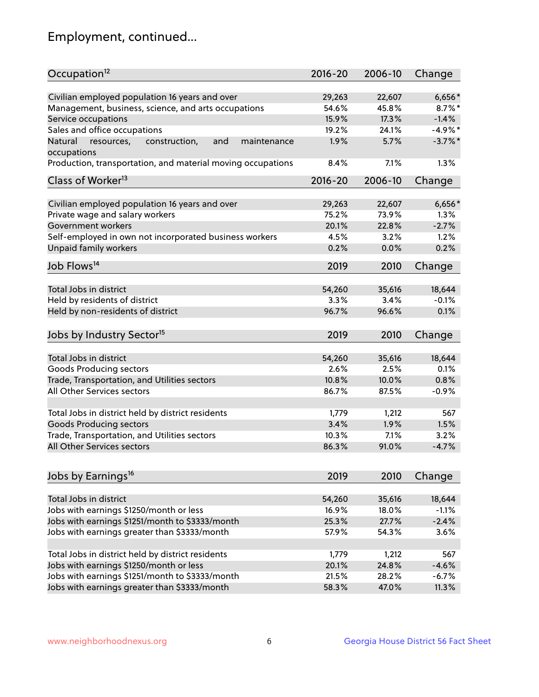## Employment, continued...

| Civilian employed population 16 years and over<br>$6,656*$<br>29,263<br>22,607<br>45.8%<br>Management, business, science, and arts occupations<br>54.6%<br>$8.7\%$ *<br>17.3%<br>$-1.4%$<br>Service occupations<br>15.9%<br>Sales and office occupations<br>$-4.9%$ *<br>19.2%<br>24.1%<br>$-3.7\%$ *<br>and<br>maintenance<br>1.9%<br>5.7%<br>Natural<br>resources,<br>construction,<br>occupations<br>7.1%<br>1.3%<br>Production, transportation, and material moving occupations<br>8.4%<br>Class of Worker <sup>13</sup><br>$2016 - 20$<br>2006-10<br>Change<br>Civilian employed population 16 years and over<br>29,263<br>22,607<br>$6,656*$<br>Private wage and salary workers<br>75.2%<br>73.9%<br>1.3%<br>$-2.7%$<br>Government workers<br>20.1%<br>22.8%<br>Self-employed in own not incorporated business workers<br>4.5%<br>3.2%<br>1.2%<br>Unpaid family workers<br>0.2%<br>0.2%<br>0.0%<br>Job Flows <sup>14</sup><br>2019<br>2010<br>Change<br>Total Jobs in district<br>54,260<br>18,644<br>35,616<br>Held by residents of district<br>$-0.1%$<br>3.3%<br>3.4%<br>Held by non-residents of district<br>96.7%<br>96.6%<br>0.1%<br>Jobs by Industry Sector <sup>15</sup><br>2019<br>2010<br>Change<br>Total Jobs in district<br>54,260<br>18,644<br>35,616<br>Goods Producing sectors<br>2.6%<br>2.5%<br>0.1%<br>0.8%<br>Trade, Transportation, and Utilities sectors<br>10.8%<br>10.0%<br>All Other Services sectors<br>86.7%<br>87.5%<br>$-0.9%$<br>Total Jobs in district held by district residents<br>1,779<br>1,212<br>567<br>3.4%<br>1.9%<br><b>Goods Producing sectors</b><br>1.5%<br>Trade, Transportation, and Utilities sectors<br>10.3%<br>7.1%<br>3.2%<br>All Other Services sectors<br>$-4.7%$<br>86.3%<br>91.0% | Occupation <sup>12</sup> | $2016 - 20$ | 2006-10 | Change |
|----------------------------------------------------------------------------------------------------------------------------------------------------------------------------------------------------------------------------------------------------------------------------------------------------------------------------------------------------------------------------------------------------------------------------------------------------------------------------------------------------------------------------------------------------------------------------------------------------------------------------------------------------------------------------------------------------------------------------------------------------------------------------------------------------------------------------------------------------------------------------------------------------------------------------------------------------------------------------------------------------------------------------------------------------------------------------------------------------------------------------------------------------------------------------------------------------------------------------------------------------------------------------------------------------------------------------------------------------------------------------------------------------------------------------------------------------------------------------------------------------------------------------------------------------------------------------------------------------------------------------------------------------------------------------------------------------------------------------------------------|--------------------------|-------------|---------|--------|
|                                                                                                                                                                                                                                                                                                                                                                                                                                                                                                                                                                                                                                                                                                                                                                                                                                                                                                                                                                                                                                                                                                                                                                                                                                                                                                                                                                                                                                                                                                                                                                                                                                                                                                                                              |                          |             |         |        |
|                                                                                                                                                                                                                                                                                                                                                                                                                                                                                                                                                                                                                                                                                                                                                                                                                                                                                                                                                                                                                                                                                                                                                                                                                                                                                                                                                                                                                                                                                                                                                                                                                                                                                                                                              |                          |             |         |        |
|                                                                                                                                                                                                                                                                                                                                                                                                                                                                                                                                                                                                                                                                                                                                                                                                                                                                                                                                                                                                                                                                                                                                                                                                                                                                                                                                                                                                                                                                                                                                                                                                                                                                                                                                              |                          |             |         |        |
|                                                                                                                                                                                                                                                                                                                                                                                                                                                                                                                                                                                                                                                                                                                                                                                                                                                                                                                                                                                                                                                                                                                                                                                                                                                                                                                                                                                                                                                                                                                                                                                                                                                                                                                                              |                          |             |         |        |
|                                                                                                                                                                                                                                                                                                                                                                                                                                                                                                                                                                                                                                                                                                                                                                                                                                                                                                                                                                                                                                                                                                                                                                                                                                                                                                                                                                                                                                                                                                                                                                                                                                                                                                                                              |                          |             |         |        |
|                                                                                                                                                                                                                                                                                                                                                                                                                                                                                                                                                                                                                                                                                                                                                                                                                                                                                                                                                                                                                                                                                                                                                                                                                                                                                                                                                                                                                                                                                                                                                                                                                                                                                                                                              |                          |             |         |        |
|                                                                                                                                                                                                                                                                                                                                                                                                                                                                                                                                                                                                                                                                                                                                                                                                                                                                                                                                                                                                                                                                                                                                                                                                                                                                                                                                                                                                                                                                                                                                                                                                                                                                                                                                              |                          |             |         |        |
|                                                                                                                                                                                                                                                                                                                                                                                                                                                                                                                                                                                                                                                                                                                                                                                                                                                                                                                                                                                                                                                                                                                                                                                                                                                                                                                                                                                                                                                                                                                                                                                                                                                                                                                                              |                          |             |         |        |
|                                                                                                                                                                                                                                                                                                                                                                                                                                                                                                                                                                                                                                                                                                                                                                                                                                                                                                                                                                                                                                                                                                                                                                                                                                                                                                                                                                                                                                                                                                                                                                                                                                                                                                                                              |                          |             |         |        |
|                                                                                                                                                                                                                                                                                                                                                                                                                                                                                                                                                                                                                                                                                                                                                                                                                                                                                                                                                                                                                                                                                                                                                                                                                                                                                                                                                                                                                                                                                                                                                                                                                                                                                                                                              |                          |             |         |        |
|                                                                                                                                                                                                                                                                                                                                                                                                                                                                                                                                                                                                                                                                                                                                                                                                                                                                                                                                                                                                                                                                                                                                                                                                                                                                                                                                                                                                                                                                                                                                                                                                                                                                                                                                              |                          |             |         |        |
|                                                                                                                                                                                                                                                                                                                                                                                                                                                                                                                                                                                                                                                                                                                                                                                                                                                                                                                                                                                                                                                                                                                                                                                                                                                                                                                                                                                                                                                                                                                                                                                                                                                                                                                                              |                          |             |         |        |
|                                                                                                                                                                                                                                                                                                                                                                                                                                                                                                                                                                                                                                                                                                                                                                                                                                                                                                                                                                                                                                                                                                                                                                                                                                                                                                                                                                                                                                                                                                                                                                                                                                                                                                                                              |                          |             |         |        |
|                                                                                                                                                                                                                                                                                                                                                                                                                                                                                                                                                                                                                                                                                                                                                                                                                                                                                                                                                                                                                                                                                                                                                                                                                                                                                                                                                                                                                                                                                                                                                                                                                                                                                                                                              |                          |             |         |        |
|                                                                                                                                                                                                                                                                                                                                                                                                                                                                                                                                                                                                                                                                                                                                                                                                                                                                                                                                                                                                                                                                                                                                                                                                                                                                                                                                                                                                                                                                                                                                                                                                                                                                                                                                              |                          |             |         |        |
|                                                                                                                                                                                                                                                                                                                                                                                                                                                                                                                                                                                                                                                                                                                                                                                                                                                                                                                                                                                                                                                                                                                                                                                                                                                                                                                                                                                                                                                                                                                                                                                                                                                                                                                                              |                          |             |         |        |
|                                                                                                                                                                                                                                                                                                                                                                                                                                                                                                                                                                                                                                                                                                                                                                                                                                                                                                                                                                                                                                                                                                                                                                                                                                                                                                                                                                                                                                                                                                                                                                                                                                                                                                                                              |                          |             |         |        |
|                                                                                                                                                                                                                                                                                                                                                                                                                                                                                                                                                                                                                                                                                                                                                                                                                                                                                                                                                                                                                                                                                                                                                                                                                                                                                                                                                                                                                                                                                                                                                                                                                                                                                                                                              |                          |             |         |        |
|                                                                                                                                                                                                                                                                                                                                                                                                                                                                                                                                                                                                                                                                                                                                                                                                                                                                                                                                                                                                                                                                                                                                                                                                                                                                                                                                                                                                                                                                                                                                                                                                                                                                                                                                              |                          |             |         |        |
|                                                                                                                                                                                                                                                                                                                                                                                                                                                                                                                                                                                                                                                                                                                                                                                                                                                                                                                                                                                                                                                                                                                                                                                                                                                                                                                                                                                                                                                                                                                                                                                                                                                                                                                                              |                          |             |         |        |
|                                                                                                                                                                                                                                                                                                                                                                                                                                                                                                                                                                                                                                                                                                                                                                                                                                                                                                                                                                                                                                                                                                                                                                                                                                                                                                                                                                                                                                                                                                                                                                                                                                                                                                                                              |                          |             |         |        |
|                                                                                                                                                                                                                                                                                                                                                                                                                                                                                                                                                                                                                                                                                                                                                                                                                                                                                                                                                                                                                                                                                                                                                                                                                                                                                                                                                                                                                                                                                                                                                                                                                                                                                                                                              |                          |             |         |        |
|                                                                                                                                                                                                                                                                                                                                                                                                                                                                                                                                                                                                                                                                                                                                                                                                                                                                                                                                                                                                                                                                                                                                                                                                                                                                                                                                                                                                                                                                                                                                                                                                                                                                                                                                              |                          |             |         |        |
|                                                                                                                                                                                                                                                                                                                                                                                                                                                                                                                                                                                                                                                                                                                                                                                                                                                                                                                                                                                                                                                                                                                                                                                                                                                                                                                                                                                                                                                                                                                                                                                                                                                                                                                                              |                          |             |         |        |
|                                                                                                                                                                                                                                                                                                                                                                                                                                                                                                                                                                                                                                                                                                                                                                                                                                                                                                                                                                                                                                                                                                                                                                                                                                                                                                                                                                                                                                                                                                                                                                                                                                                                                                                                              |                          |             |         |        |
|                                                                                                                                                                                                                                                                                                                                                                                                                                                                                                                                                                                                                                                                                                                                                                                                                                                                                                                                                                                                                                                                                                                                                                                                                                                                                                                                                                                                                                                                                                                                                                                                                                                                                                                                              |                          |             |         |        |
|                                                                                                                                                                                                                                                                                                                                                                                                                                                                                                                                                                                                                                                                                                                                                                                                                                                                                                                                                                                                                                                                                                                                                                                                                                                                                                                                                                                                                                                                                                                                                                                                                                                                                                                                              |                          |             |         |        |
|                                                                                                                                                                                                                                                                                                                                                                                                                                                                                                                                                                                                                                                                                                                                                                                                                                                                                                                                                                                                                                                                                                                                                                                                                                                                                                                                                                                                                                                                                                                                                                                                                                                                                                                                              |                          |             |         |        |
|                                                                                                                                                                                                                                                                                                                                                                                                                                                                                                                                                                                                                                                                                                                                                                                                                                                                                                                                                                                                                                                                                                                                                                                                                                                                                                                                                                                                                                                                                                                                                                                                                                                                                                                                              |                          |             |         |        |
|                                                                                                                                                                                                                                                                                                                                                                                                                                                                                                                                                                                                                                                                                                                                                                                                                                                                                                                                                                                                                                                                                                                                                                                                                                                                                                                                                                                                                                                                                                                                                                                                                                                                                                                                              |                          |             |         |        |
| Jobs by Earnings <sup>16</sup><br>2019<br>2010<br>Change                                                                                                                                                                                                                                                                                                                                                                                                                                                                                                                                                                                                                                                                                                                                                                                                                                                                                                                                                                                                                                                                                                                                                                                                                                                                                                                                                                                                                                                                                                                                                                                                                                                                                     |                          |             |         |        |
|                                                                                                                                                                                                                                                                                                                                                                                                                                                                                                                                                                                                                                                                                                                                                                                                                                                                                                                                                                                                                                                                                                                                                                                                                                                                                                                                                                                                                                                                                                                                                                                                                                                                                                                                              |                          |             |         |        |
| Total Jobs in district<br>54,260<br>35,616<br>18,644                                                                                                                                                                                                                                                                                                                                                                                                                                                                                                                                                                                                                                                                                                                                                                                                                                                                                                                                                                                                                                                                                                                                                                                                                                                                                                                                                                                                                                                                                                                                                                                                                                                                                         |                          |             |         |        |
| Jobs with earnings \$1250/month or less<br>16.9%<br>18.0%<br>$-1.1%$                                                                                                                                                                                                                                                                                                                                                                                                                                                                                                                                                                                                                                                                                                                                                                                                                                                                                                                                                                                                                                                                                                                                                                                                                                                                                                                                                                                                                                                                                                                                                                                                                                                                         |                          |             |         |        |
| Jobs with earnings \$1251/month to \$3333/month<br>$-2.4%$<br>25.3%<br>27.7%                                                                                                                                                                                                                                                                                                                                                                                                                                                                                                                                                                                                                                                                                                                                                                                                                                                                                                                                                                                                                                                                                                                                                                                                                                                                                                                                                                                                                                                                                                                                                                                                                                                                 |                          |             |         |        |
| Jobs with earnings greater than \$3333/month<br>3.6%<br>57.9%<br>54.3%                                                                                                                                                                                                                                                                                                                                                                                                                                                                                                                                                                                                                                                                                                                                                                                                                                                                                                                                                                                                                                                                                                                                                                                                                                                                                                                                                                                                                                                                                                                                                                                                                                                                       |                          |             |         |        |
| Total Jobs in district held by district residents<br>1,779<br>1,212<br>567                                                                                                                                                                                                                                                                                                                                                                                                                                                                                                                                                                                                                                                                                                                                                                                                                                                                                                                                                                                                                                                                                                                                                                                                                                                                                                                                                                                                                                                                                                                                                                                                                                                                   |                          |             |         |        |
| Jobs with earnings \$1250/month or less<br>20.1%<br>24.8%<br>$-4.6%$                                                                                                                                                                                                                                                                                                                                                                                                                                                                                                                                                                                                                                                                                                                                                                                                                                                                                                                                                                                                                                                                                                                                                                                                                                                                                                                                                                                                                                                                                                                                                                                                                                                                         |                          |             |         |        |
| Jobs with earnings \$1251/month to \$3333/month<br>21.5%<br>28.2%<br>$-6.7%$                                                                                                                                                                                                                                                                                                                                                                                                                                                                                                                                                                                                                                                                                                                                                                                                                                                                                                                                                                                                                                                                                                                                                                                                                                                                                                                                                                                                                                                                                                                                                                                                                                                                 |                          |             |         |        |
| 11.3%<br>Jobs with earnings greater than \$3333/month<br>58.3%<br>47.0%                                                                                                                                                                                                                                                                                                                                                                                                                                                                                                                                                                                                                                                                                                                                                                                                                                                                                                                                                                                                                                                                                                                                                                                                                                                                                                                                                                                                                                                                                                                                                                                                                                                                      |                          |             |         |        |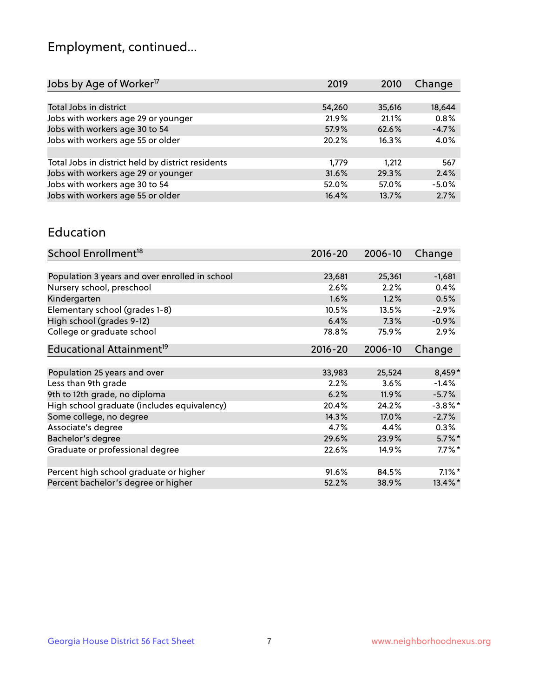## Employment, continued...

| 2019   | 2010   | Change  |
|--------|--------|---------|
|        |        |         |
| 54,260 | 35,616 | 18,644  |
| 21.9%  | 21.1%  | 0.8%    |
| 57.9%  | 62.6%  | $-4.7%$ |
| 20.2%  | 16.3%  | 4.0%    |
|        |        |         |
| 1.779  | 1.212  | 567     |
| 31.6%  | 29.3%  | 2.4%    |
| 52.0%  | 57.0%  | $-5.0%$ |
| 16.4%  | 13.7%  | 2.7%    |
|        |        |         |

#### Education

| School Enrollment <sup>18</sup>                | $2016 - 20$ | 2006-10 | Change                |
|------------------------------------------------|-------------|---------|-----------------------|
|                                                |             |         |                       |
| Population 3 years and over enrolled in school | 23,681      | 25,361  | $-1,681$              |
| Nursery school, preschool                      | 2.6%        | 2.2%    | 0.4%                  |
| Kindergarten                                   | 1.6%        | 1.2%    | 0.5%                  |
| Elementary school (grades 1-8)                 | 10.5%       | 13.5%   | $-2.9\%$              |
| High school (grades 9-12)                      | 6.4%        | 7.3%    | $-0.9%$               |
| College or graduate school                     | 78.8%       | 75.9%   | 2.9%                  |
| Educational Attainment <sup>19</sup>           | $2016 - 20$ | 2006-10 | Change                |
|                                                |             |         |                       |
| Population 25 years and over                   | 33,983      | 25,524  | 8,459*                |
| Less than 9th grade                            | 2.2%        | 3.6%    | $-1.4%$               |
| 9th to 12th grade, no diploma                  | 6.2%        | 11.9%   | $-5.7%$               |
| High school graduate (includes equivalency)    | 20.4%       | 24.2%   | $-3.8\%$ *            |
| Some college, no degree                        | 14.3%       | 17.0%   | $-2.7%$               |
| Associate's degree                             | 4.7%        | 4.4%    | 0.3%                  |
| Bachelor's degree                              | 29.6%       | 23.9%   | $5.7\%$ *             |
| Graduate or professional degree                | 22.6%       | 14.9%   | $7.7\%$ *             |
|                                                |             |         |                       |
| Percent high school graduate or higher         | 91.6%       | 84.5%   | $7.1\%$ *             |
| Percent bachelor's degree or higher            | 52.2%       | 38.9%   | $13.4\%$ <sup>*</sup> |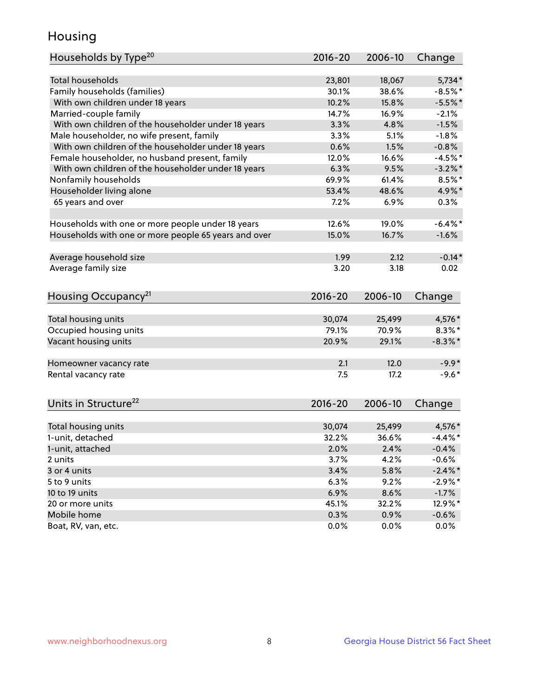## Housing

| Households by Type <sup>20</sup>                     | 2016-20     | 2006-10 | Change     |
|------------------------------------------------------|-------------|---------|------------|
|                                                      |             |         |            |
| <b>Total households</b>                              | 23,801      | 18,067  | $5,734*$   |
| Family households (families)                         | 30.1%       | 38.6%   | $-8.5%$ *  |
| With own children under 18 years                     | 10.2%       | 15.8%   | $-5.5%$ *  |
| Married-couple family                                | 14.7%       | 16.9%   | $-2.1%$    |
| With own children of the householder under 18 years  | 3.3%        | 4.8%    | $-1.5%$    |
| Male householder, no wife present, family            | 3.3%        | 5.1%    | $-1.8%$    |
| With own children of the householder under 18 years  | 0.6%        | 1.5%    | $-0.8%$    |
| Female householder, no husband present, family       | 12.0%       | 16.6%   | $-4.5%$ *  |
| With own children of the householder under 18 years  | 6.3%        | 9.5%    | $-3.2\%$ * |
| Nonfamily households                                 | 69.9%       | 61.4%   | $8.5\%$ *  |
| Householder living alone                             | 53.4%       | 48.6%   | 4.9%*      |
| 65 years and over                                    | 7.2%        | 6.9%    | 0.3%       |
|                                                      |             |         |            |
| Households with one or more people under 18 years    | 12.6%       | 19.0%   | $-6.4\%$ * |
| Households with one or more people 65 years and over | 15.0%       | 16.7%   | $-1.6%$    |
|                                                      |             |         |            |
| Average household size                               | 1.99        | 2.12    | $-0.14*$   |
| Average family size                                  | 3.20        | 3.18    | 0.02       |
|                                                      |             |         |            |
| Housing Occupancy <sup>21</sup>                      | $2016 - 20$ | 2006-10 | Change     |
|                                                      |             |         |            |
| Total housing units                                  | 30,074      | 25,499  | 4,576*     |
| Occupied housing units                               | 79.1%       | 70.9%   | $8.3\%$ *  |
| Vacant housing units                                 | 20.9%       | 29.1%   | $-8.3\%$ * |
|                                                      |             |         | $-9.9*$    |
| Homeowner vacancy rate                               | 2.1         | 12.0    |            |
| Rental vacancy rate                                  | 7.5         | 17.2    | $-9.6*$    |
| Units in Structure <sup>22</sup>                     | $2016 - 20$ | 2006-10 | Change     |
|                                                      |             |         |            |
| Total housing units                                  | 30,074      | 25,499  | 4,576*     |
| 1-unit, detached                                     | 32.2%       | 36.6%   | $-4.4\%$ * |
| 1-unit, attached                                     | 2.0%        | 2.4%    | $-0.4%$    |
| 2 units                                              | 3.7%        | 4.2%    | $-0.6%$    |
| 3 or 4 units                                         | 3.4%        | 5.8%    | $-2.4\%$ * |
| 5 to 9 units                                         | 6.3%        | 9.2%    | -2.9%*     |
| 10 to 19 units                                       | 6.9%        | 8.6%    | $-1.7\%$   |
| 20 or more units                                     | 45.1%       | 32.2%   | 12.9%*     |
| Mobile home                                          | 0.3%        | 0.9%    | $-0.6\%$   |
| Boat, RV, van, etc.                                  | 0.0%        | 0.0%    | 0.0%       |
|                                                      |             |         |            |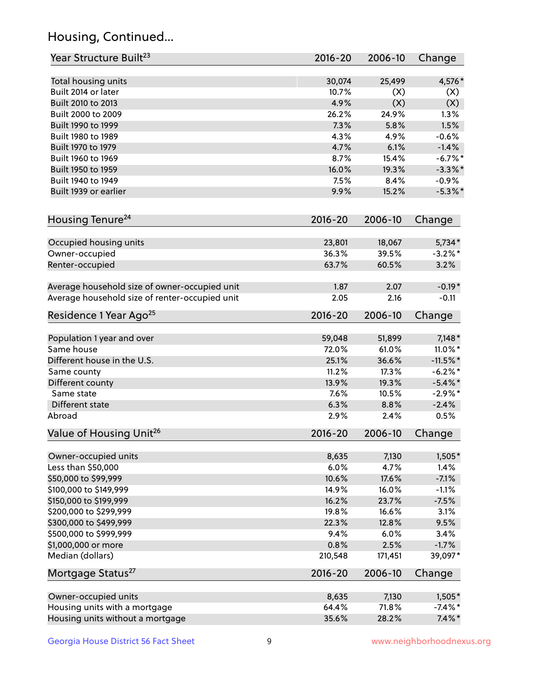## Housing, Continued...

| Year Structure Built <sup>23</sup>             | 2016-20     | 2006-10 | Change     |
|------------------------------------------------|-------------|---------|------------|
| Total housing units                            | 30,074      | 25,499  | 4,576*     |
| Built 2014 or later                            | 10.7%       | (X)     | (X)        |
| Built 2010 to 2013                             | 4.9%        | (X)     | (X)        |
| Built 2000 to 2009                             | 26.2%       | 24.9%   | 1.3%       |
| Built 1990 to 1999                             | 7.3%        | 5.8%    | 1.5%       |
| Built 1980 to 1989                             | 4.3%        | 4.9%    | $-0.6%$    |
| Built 1970 to 1979                             | 4.7%        | 6.1%    | $-1.4%$    |
| Built 1960 to 1969                             | 8.7%        | 15.4%   | $-6.7%$    |
| Built 1950 to 1959                             | 16.0%       | 19.3%   | $-3.3\%$ * |
| Built 1940 to 1949                             | 7.5%        | 8.4%    | $-0.9%$    |
| Built 1939 or earlier                          | 9.9%        | 15.2%   | $-5.3\%$ * |
| Housing Tenure <sup>24</sup>                   | $2016 - 20$ | 2006-10 | Change     |
| Occupied housing units                         | 23,801      | 18,067  | $5,734*$   |
| Owner-occupied                                 | 36.3%       | 39.5%   | $-3.2\%$ * |
| Renter-occupied                                | 63.7%       | 60.5%   | 3.2%       |
| Average household size of owner-occupied unit  | 1.87        | 2.07    | $-0.19*$   |
| Average household size of renter-occupied unit | 2.05        | 2.16    | $-0.11$    |
| Residence 1 Year Ago <sup>25</sup>             | $2016 - 20$ | 2006-10 | Change     |
| Population 1 year and over                     | 59,048      | 51,899  | $7,148*$   |
| Same house                                     | 72.0%       | 61.0%   | 11.0%*     |
| Different house in the U.S.                    | 25.1%       | 36.6%   | $-11.5%$ * |
| Same county                                    | 11.2%       | 17.3%   | $-6.2%$ *  |
| Different county                               | 13.9%       | 19.3%   | $-5.4\%$ * |
| Same state                                     | 7.6%        | 10.5%   | $-2.9\%$ * |
| Different state                                | 6.3%        | 8.8%    | $-2.4%$    |
| Abroad                                         | 2.9%        | 2.4%    | 0.5%       |
| Value of Housing Unit <sup>26</sup>            | $2016 - 20$ | 2006-10 | Change     |
| Owner-occupied units                           | 8,635       | 7,130   | $1,505*$   |
| Less than \$50,000                             | 6.0%        | 4.7%    | 1.4%       |
| \$50,000 to \$99,999                           | 10.6%       | 17.6%   | $-7.1%$    |
| \$100,000 to \$149,999                         | 14.9%       | 16.0%   | $-1.1%$    |
| \$150,000 to \$199,999                         | 16.2%       | 23.7%   | $-7.5%$    |
| \$200,000 to \$299,999                         | 19.8%       | 16.6%   | 3.1%       |
| \$300,000 to \$499,999                         | 22.3%       | 12.8%   | 9.5%       |
| \$500,000 to \$999,999                         | 9.4%        | 6.0%    | 3.4%       |
| \$1,000,000 or more                            | 0.8%        | 2.5%    | $-1.7%$    |
| Median (dollars)                               | 210,548     | 171,451 | 39,097*    |
| Mortgage Status <sup>27</sup>                  | $2016 - 20$ | 2006-10 | Change     |
| Owner-occupied units                           | 8,635       | 7,130   | $1,505*$   |
| Housing units with a mortgage                  | 64.4%       | 71.8%   | $-7.4\%$ * |
| Housing units without a mortgage               | 35.6%       | 28.2%   | $7.4\%$ *  |
|                                                |             |         |            |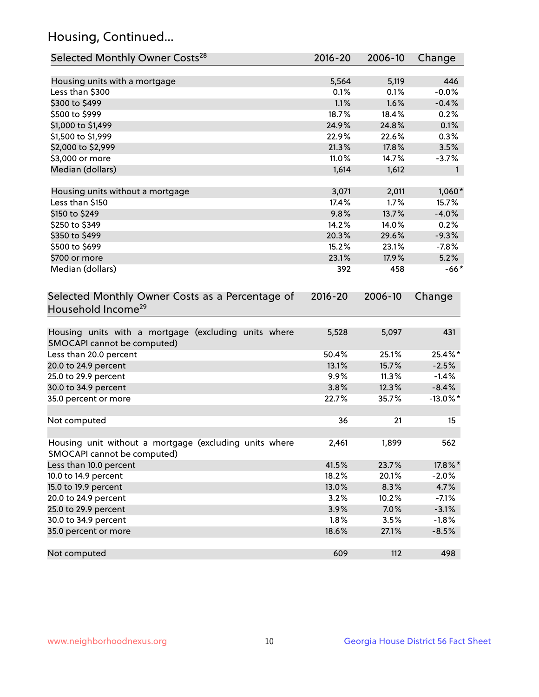## Housing, Continued...

| Selected Monthly Owner Costs <sup>28</sup>                                            | 2016-20     | 2006-10 | Change       |
|---------------------------------------------------------------------------------------|-------------|---------|--------------|
| Housing units with a mortgage                                                         | 5,564       | 5,119   | 446          |
| Less than \$300                                                                       | 0.1%        | 0.1%    | $-0.0%$      |
| \$300 to \$499                                                                        | 1.1%        | 1.6%    | $-0.4%$      |
| \$500 to \$999                                                                        | 18.7%       | 18.4%   | 0.2%         |
| \$1,000 to \$1,499                                                                    | 24.9%       | 24.8%   | 0.1%         |
| \$1,500 to \$1,999                                                                    | 22.9%       | 22.6%   | 0.3%         |
| \$2,000 to \$2,999                                                                    | 21.3%       | 17.8%   | 3.5%         |
| \$3,000 or more                                                                       | 11.0%       | 14.7%   | $-3.7%$      |
| Median (dollars)                                                                      | 1,614       | 1,612   | $\mathbf{1}$ |
| Housing units without a mortgage                                                      | 3,071       | 2,011   | $1,060*$     |
| Less than \$150                                                                       | 17.4%       | 1.7%    | 15.7%        |
| \$150 to \$249                                                                        | 9.8%        | 13.7%   | $-4.0%$      |
| \$250 to \$349                                                                        | 14.2%       | 14.0%   | 0.2%         |
| \$350 to \$499                                                                        | 20.3%       | 29.6%   | $-9.3%$      |
| \$500 to \$699                                                                        | 15.2%       | 23.1%   | $-7.8%$      |
| \$700 or more                                                                         | 23.1%       | 17.9%   | 5.2%         |
| Median (dollars)                                                                      | 392         | 458     | $-66*$       |
| Selected Monthly Owner Costs as a Percentage of<br>Household Income <sup>29</sup>     | $2016 - 20$ | 2006-10 | Change       |
| Housing units with a mortgage (excluding units where<br>SMOCAPI cannot be computed)   | 5,528       | 5,097   | 431          |
| Less than 20.0 percent                                                                | 50.4%       | 25.1%   | 25.4%*       |
| 20.0 to 24.9 percent                                                                  | 13.1%       | 15.7%   | $-2.5%$      |
| 25.0 to 29.9 percent                                                                  | 9.9%        | 11.3%   | $-1.4%$      |
| 30.0 to 34.9 percent                                                                  | 3.8%        | 12.3%   | $-8.4%$      |
| 35.0 percent or more                                                                  | 22.7%       | 35.7%   | $-13.0\%$ *  |
| Not computed                                                                          | 36          | 21      | 15           |
| Housing unit without a mortgage (excluding units where<br>SMOCAPI cannot be computed) | 2,461       | 1,899   | 562          |
| Less than 10.0 percent                                                                | 41.5%       | 23.7%   | 17.8%*       |
| 10.0 to 14.9 percent                                                                  | 18.2%       | 20.1%   | $-2.0%$      |
| 15.0 to 19.9 percent                                                                  | 13.0%       | 8.3%    | 4.7%         |
| 20.0 to 24.9 percent                                                                  | 3.2%        | 10.2%   | $-7.1%$      |
| 25.0 to 29.9 percent                                                                  | 3.9%        | 7.0%    | $-3.1%$      |
| 30.0 to 34.9 percent                                                                  | 1.8%        | 3.5%    | $-1.8%$      |
| 35.0 percent or more                                                                  | 18.6%       | 27.1%   | $-8.5%$      |
| Not computed                                                                          | 609         | 112     | 498          |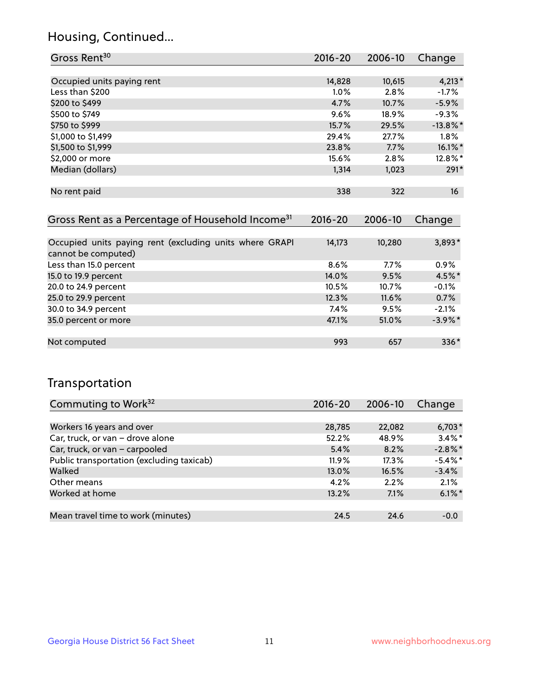## Housing, Continued...

| Gross Rent <sup>30</sup>   | $2016 - 20$ | 2006-10 | Change           |
|----------------------------|-------------|---------|------------------|
|                            |             |         |                  |
| Occupied units paying rent | 14,828      | 10,615  | $4,213*$         |
| Less than \$200            | 1.0%        | 2.8%    | $-1.7%$          |
| \$200 to \$499             | 4.7%        | 10.7%   | $-5.9%$          |
| \$500 to \$749             | 9.6%        | 18.9%   | $-9.3%$          |
| \$750 to \$999             | 15.7%       | 29.5%   | $-13.8\%$ *      |
| \$1,000 to \$1,499         | 29.4%       | 27.7%   | $1.8\%$          |
| \$1,500 to \$1,999         | 23.8%       | 7.7%    | $16.1\%$ *       |
| \$2,000 or more            | 15.6%       | 2.8%    | 12.8%*           |
| Median (dollars)           | 1,314       | 1,023   | $291*$           |
|                            |             |         |                  |
| No rent paid               | 338         | 322     | 16 <sup>16</sup> |

| Gross Rent as a Percentage of Household Income <sup>31</sup>                   | $2016 - 20$ | 2006-10 | Change     |
|--------------------------------------------------------------------------------|-------------|---------|------------|
|                                                                                |             |         |            |
| Occupied units paying rent (excluding units where GRAPI<br>cannot be computed) | 14,173      | 10,280  | 3,893*     |
| Less than 15.0 percent                                                         | 8.6%        | $7.7\%$ | $0.9\%$    |
| 15.0 to 19.9 percent                                                           | 14.0%       | 9.5%    | 4.5%*      |
| 20.0 to 24.9 percent                                                           | 10.5%       | 10.7%   | $-0.1%$    |
| 25.0 to 29.9 percent                                                           | 12.3%       | 11.6%   | 0.7%       |
| 30.0 to 34.9 percent                                                           | $7.4\%$     | 9.5%    | $-2.1%$    |
| 35.0 percent or more                                                           | 47.1%       | 51.0%   | $-3.9\%$ * |
|                                                                                |             |         |            |
| Not computed                                                                   | 993         | 657     | $336*$     |

## Transportation

| Commuting to Work <sup>32</sup>           | 2016-20  | 2006-10 | Change     |
|-------------------------------------------|----------|---------|------------|
|                                           |          |         |            |
| Workers 16 years and over                 | 28,785   | 22,082  | $6,703*$   |
| Car, truck, or van - drove alone          | 52.2%    | 48.9%   | $3.4\%$ *  |
| Car, truck, or van - carpooled            | 5.4%     | 8.2%    | $-2.8\%$ * |
| Public transportation (excluding taxicab) | $11.9\%$ | 17.3%   | $-5.4\%$ * |
| Walked                                    | $13.0\%$ | 16.5%   | $-3.4%$    |
| Other means                               | 4.2%     | 2.2%    | 2.1%       |
| Worked at home                            | 13.2%    | 7.1%    | $6.1\%$ *  |
|                                           |          |         |            |
| Mean travel time to work (minutes)        | 24.5     | 24.6    | $-0.0$     |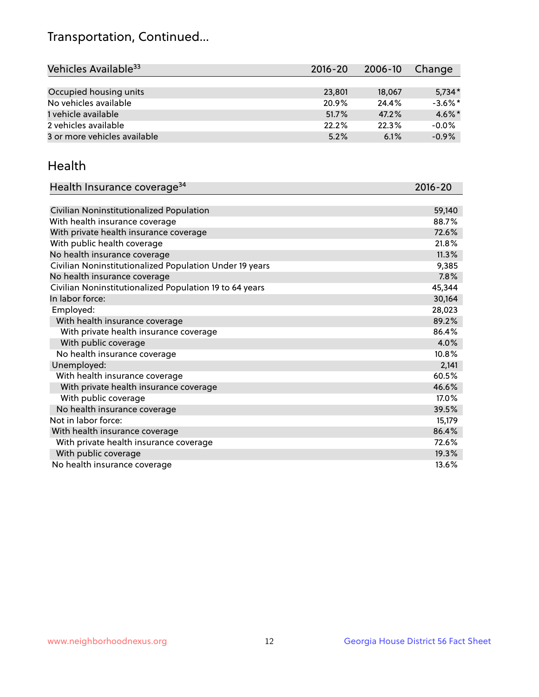## Transportation, Continued...

| Vehicles Available <sup>33</sup> | $2016 - 20$ | 2006-10 | Change     |
|----------------------------------|-------------|---------|------------|
|                                  |             |         |            |
| Occupied housing units           | 23,801      | 18,067  | $5.734*$   |
| No vehicles available            | 20.9%       | 24.4%   | $-3.6\%$ * |
| 1 vehicle available              | 51.7%       | 47.2%   | $4.6\%$ *  |
| 2 vehicles available             | 22.2%       | 22.3%   | $-0.0%$    |
| 3 or more vehicles available     | 5.2%        | 6.1%    | $-0.9%$    |

#### Health

| Health Insurance coverage <sup>34</sup>                 | 2016-20 |
|---------------------------------------------------------|---------|
|                                                         |         |
| Civilian Noninstitutionalized Population                | 59,140  |
| With health insurance coverage                          | 88.7%   |
| With private health insurance coverage                  | 72.6%   |
| With public health coverage                             | 21.8%   |
| No health insurance coverage                            | 11.3%   |
| Civilian Noninstitutionalized Population Under 19 years | 9,385   |
| No health insurance coverage                            | 7.8%    |
| Civilian Noninstitutionalized Population 19 to 64 years | 45,344  |
| In labor force:                                         | 30,164  |
| Employed:                                               | 28,023  |
| With health insurance coverage                          | 89.2%   |
| With private health insurance coverage                  | 86.4%   |
| With public coverage                                    | 4.0%    |
| No health insurance coverage                            | 10.8%   |
| Unemployed:                                             | 2,141   |
| With health insurance coverage                          | 60.5%   |
| With private health insurance coverage                  | 46.6%   |
| With public coverage                                    | 17.0%   |
| No health insurance coverage                            | 39.5%   |
| Not in labor force:                                     | 15,179  |
| With health insurance coverage                          | 86.4%   |
| With private health insurance coverage                  | 72.6%   |
| With public coverage                                    | 19.3%   |
| No health insurance coverage                            | 13.6%   |